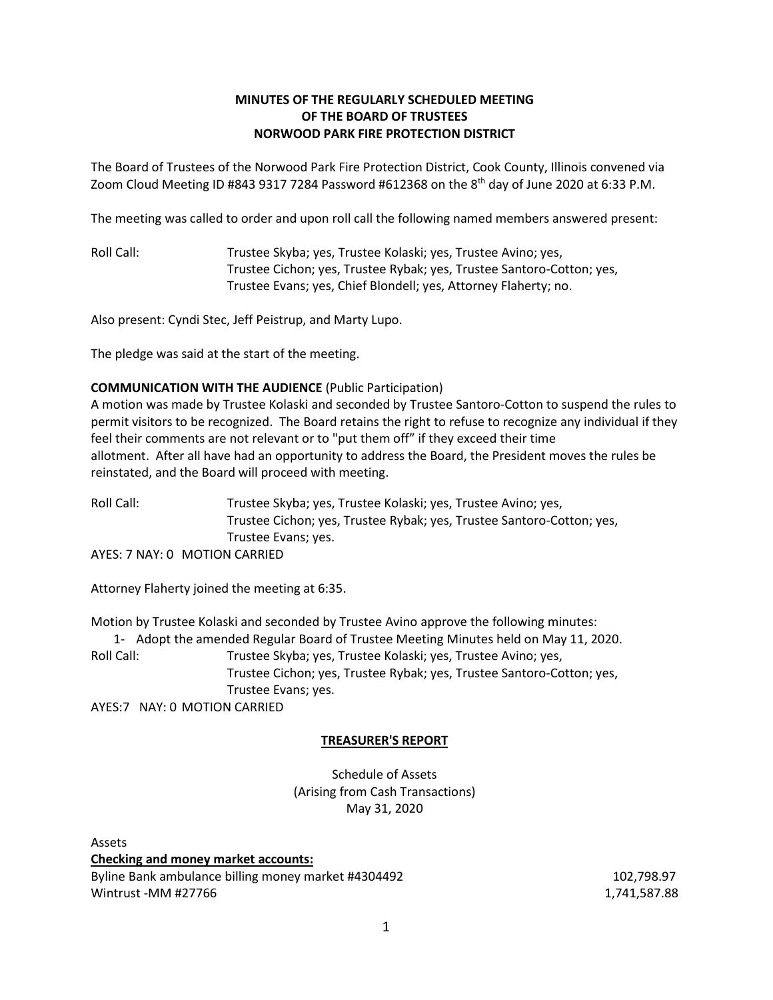# **MINUTES OF THE REGULARLY SCHEDULED MEETING OF THE BOARD OF TRUSTEES NORWOOD PARK FIRE PROTECTION DISTRICT**

The Board of Trustees of the Norwood Park Fire Protection District, Cook County, Illinois convened via Zoom Cloud Meeting ID #843 9317 7284 Password #612368 on the 8<sup>th</sup> day of June 2020 at 6:33 P.M.

The meeting was called to order and upon roll call the following named members answered present:

Roll Call: Trustee Skyba; yes, Trustee Kolaski; yes, Trustee Avino; yes, Trustee Cichon; yes, Trustee Rybak; yes, Trustee Santoro-Cotton; yes, Trustee Evans; yes, Chief Blondell; yes, Attorney Flaherty; no.

Also present: Cyndi Stec, Jeff Peistrup, and Marty Lupo.

The pledge was said at the start of the meeting.

### **COMMUNICATION WITH THE AUDIENCE** (Public Participation)

A motion was made by Trustee Kolaski and seconded by Trustee Santoro-Cotton to suspend the rules to permit visitors to be recognized. The Board retains the right to refuse to recognize any individual if they feel their comments are not relevant or to "put them off" if they exceed their time allotment. After all have had an opportunity to address the Board, the President moves the rules be reinstated, and the Board will proceed with meeting.

Roll Call: Trustee Skyba; yes, Trustee Kolaski; yes, Trustee Avino; yes, Trustee Cichon; yes, Trustee Rybak; yes, Trustee Santoro-Cotton; yes, Trustee Evans; yes. AYES: 7 NAY: 0 MOTION CARRIED

Attorney Flaherty joined the meeting at 6:35.

Motion by Trustee Kolaski and seconded by Trustee Avino approve the following minutes:

1- Adopt the amended Regular Board of Trustee Meeting Minutes held on May 11, 2020. Roll Call: Trustee Skyba; yes, Trustee Kolaski; yes, Trustee Avino; yes, Trustee Cichon; yes, Trustee Rybak; yes, Trustee Santoro-Cotton; yes, Trustee Evans; yes.

AYES:7 NAY: 0 MOTION CARRIED

# **TREASURER'S REPORT**

Schedule of Assets (Arising from Cash Transactions) May 31, 2020

Assets **Checking and money market accounts:** Byline Bank ambulance billing money market #4304492 102,798.97 Wintrust -MM #27766 1,741,587.88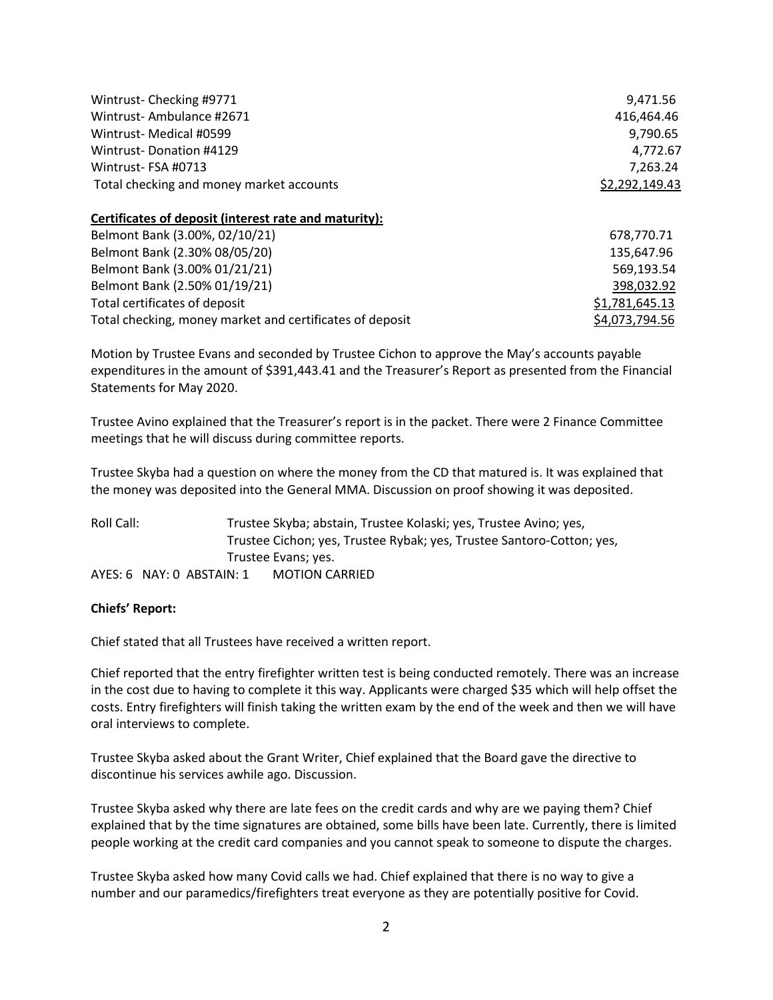| Wintrust-Checking #9771                               | 9,471.56       |
|-------------------------------------------------------|----------------|
| Wintrust-Ambulance #2671                              | 416.464.46     |
| Wintrust- Medical #0599                               | 9,790.65       |
| Wintrust-Donation #4129                               | 4,772.67       |
| Wintrust-FSA #0713                                    | 7.263.24       |
| Total checking and money market accounts              | \$2,292,149.43 |
| Certificates of deposit (interest rate and maturity): |                |

| Belmont Bank (3.00%, 02/10/21)                           | 678.770.71     |
|----------------------------------------------------------|----------------|
| Belmont Bank (2.30% 08/05/20)                            | 135.647.96     |
| Belmont Bank (3.00% 01/21/21)                            | 569,193.54     |
| Belmont Bank (2.50% 01/19/21)                            | 398,032.92     |
| Total certificates of deposit                            | \$1,781,645.13 |
| Total checking, money market and certificates of deposit | \$4,073,794.56 |

Motion by Trustee Evans and seconded by Trustee Cichon to approve the May's accounts payable expenditures in the amount of \$391,443.41 and the Treasurer's Report as presented from the Financial Statements for May 2020.

Trustee Avino explained that the Treasurer's report is in the packet. There were 2 Finance Committee meetings that he will discuss during committee reports.

Trustee Skyba had a question on where the money from the CD that matured is. It was explained that the money was deposited into the General MMA. Discussion on proof showing it was deposited.

Roll Call: Trustee Skyba; abstain, Trustee Kolaski; yes, Trustee Avino; yes, Trustee Cichon; yes, Trustee Rybak; yes, Trustee Santoro-Cotton; yes, Trustee Evans; yes. AYES: 6 NAY: 0 ABSTAIN: 1 MOTION CARRIED

#### **Chiefs' Report:**

Chief stated that all Trustees have received a written report.

Chief reported that the entry firefighter written test is being conducted remotely. There was an increase in the cost due to having to complete it this way. Applicants were charged \$35 which will help offset the costs. Entry firefighters will finish taking the written exam by the end of the week and then we will have oral interviews to complete.

Trustee Skyba asked about the Grant Writer, Chief explained that the Board gave the directive to discontinue his services awhile ago. Discussion.

Trustee Skyba asked why there are late fees on the credit cards and why are we paying them? Chief explained that by the time signatures are obtained, some bills have been late. Currently, there is limited people working at the credit card companies and you cannot speak to someone to dispute the charges.

Trustee Skyba asked how many Covid calls we had. Chief explained that there is no way to give a number and our paramedics/firefighters treat everyone as they are potentially positive for Covid.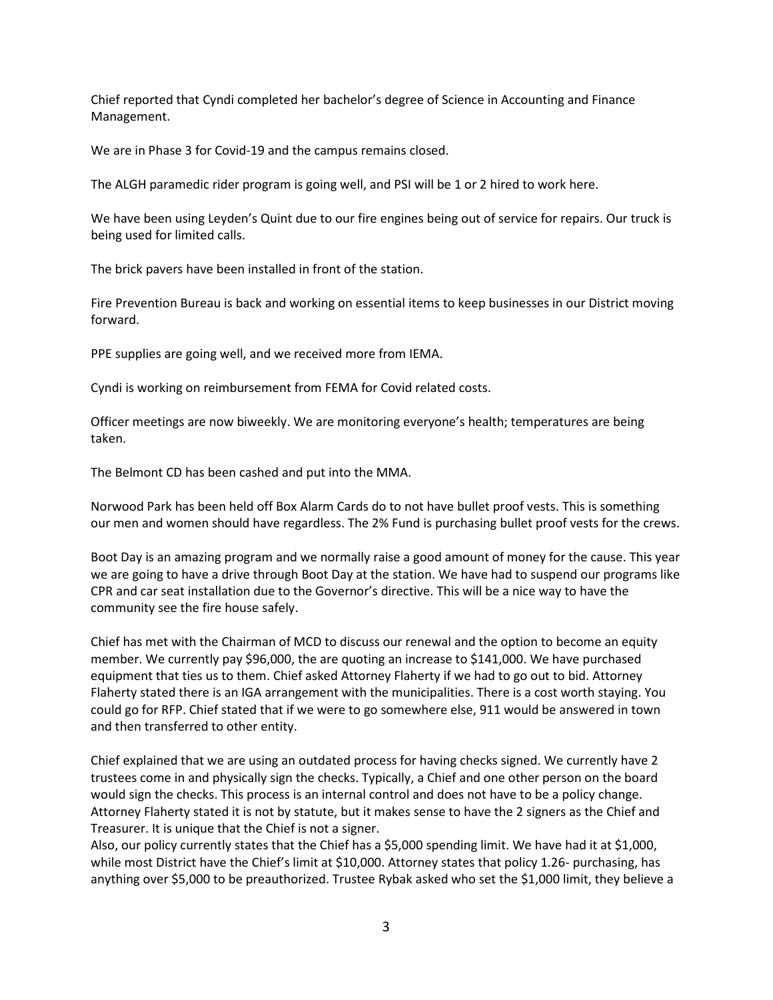Chief reported that Cyndi completed her bachelor's degree of Science in Accounting and Finance Management.

We are in Phase 3 for Covid-19 and the campus remains closed.

The ALGH paramedic rider program is going well, and PSI will be 1 or 2 hired to work here.

We have been using Leyden's Quint due to our fire engines being out of service for repairs. Our truck is being used for limited calls.

The brick pavers have been installed in front of the station.

Fire Prevention Bureau is back and working on essential items to keep businesses in our District moving forward.

PPE supplies are going well, and we received more from IEMA.

Cyndi is working on reimbursement from FEMA for Covid related costs.

Officer meetings are now biweekly. We are monitoring everyone's health; temperatures are being taken.

The Belmont CD has been cashed and put into the MMA.

Norwood Park has been held off Box Alarm Cards do to not have bullet proof vests. This is something our men and women should have regardless. The 2% Fund is purchasing bullet proof vests for the crews.

Boot Day is an amazing program and we normally raise a good amount of money for the cause. This year we are going to have a drive through Boot Day at the station. We have had to suspend our programs like CPR and car seat installation due to the Governor's directive. This will be a nice way to have the community see the fire house safely.

Chief has met with the Chairman of MCD to discuss our renewal and the option to become an equity member. We currently pay \$96,000, the are quoting an increase to \$141,000. We have purchased equipment that ties us to them. Chief asked Attorney Flaherty if we had to go out to bid. Attorney Flaherty stated there is an IGA arrangement with the municipalities. There is a cost worth staying. You could go for RFP. Chief stated that if we were to go somewhere else, 911 would be answered in town and then transferred to other entity.

Chief explained that we are using an outdated process for having checks signed. We currently have 2 trustees come in and physically sign the checks. Typically, a Chief and one other person on the board would sign the checks. This process is an internal control and does not have to be a policy change. Attorney Flaherty stated it is not by statute, but it makes sense to have the 2 signers as the Chief and Treasurer. It is unique that the Chief is not a signer.

Also, our policy currently states that the Chief has a \$5,000 spending limit. We have had it at \$1,000, while most District have the Chief's limit at \$10,000. Attorney states that policy 1.26- purchasing, has anything over \$5,000 to be preauthorized. Trustee Rybak asked who set the \$1,000 limit, they believe a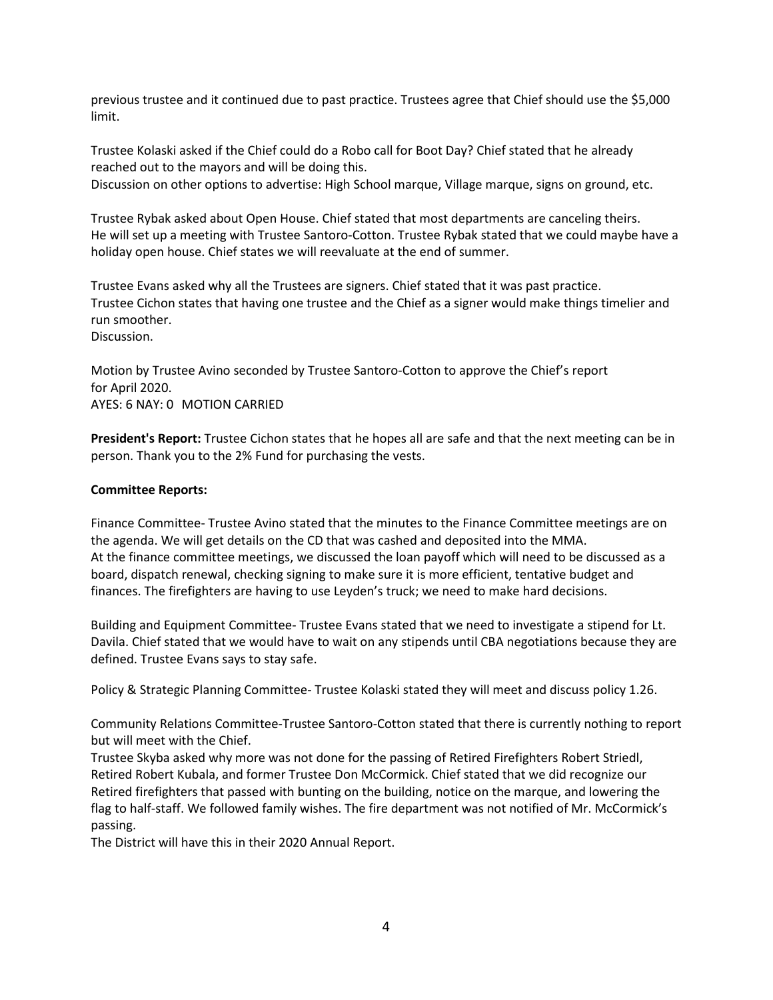previous trustee and it continued due to past practice. Trustees agree that Chief should use the \$5,000 limit.

Trustee Kolaski asked if the Chief could do a Robo call for Boot Day? Chief stated that he already reached out to the mayors and will be doing this.

Discussion on other options to advertise: High School marque, Village marque, signs on ground, etc.

Trustee Rybak asked about Open House. Chief stated that most departments are canceling theirs. He will set up a meeting with Trustee Santoro-Cotton. Trustee Rybak stated that we could maybe have a holiday open house. Chief states we will reevaluate at the end of summer.

Trustee Evans asked why all the Trustees are signers. Chief stated that it was past practice. Trustee Cichon states that having one trustee and the Chief as a signer would make things timelier and run smoother. Discussion.

Motion by Trustee Avino seconded by Trustee Santoro-Cotton to approve the Chief's report for April 2020. AYES: 6 NAY: 0 MOTION CARRIED

**President's Report:** Trustee Cichon states that he hopes all are safe and that the next meeting can be in person. Thank you to the 2% Fund for purchasing the vests.

# **Committee Reports:**

Finance Committee- Trustee Avino stated that the minutes to the Finance Committee meetings are on the agenda. We will get details on the CD that was cashed and deposited into the MMA. At the finance committee meetings, we discussed the loan payoff which will need to be discussed as a board, dispatch renewal, checking signing to make sure it is more efficient, tentative budget and finances. The firefighters are having to use Leyden's truck; we need to make hard decisions.

Building and Equipment Committee- Trustee Evans stated that we need to investigate a stipend for Lt. Davila. Chief stated that we would have to wait on any stipends until CBA negotiations because they are defined. Trustee Evans says to stay safe.

Policy & Strategic Planning Committee- Trustee Kolaski stated they will meet and discuss policy 1.26.

Community Relations Committee-Trustee Santoro-Cotton stated that there is currently nothing to report but will meet with the Chief.

Trustee Skyba asked why more was not done for the passing of Retired Firefighters Robert Striedl, Retired Robert Kubala, and former Trustee Don McCormick. Chief stated that we did recognize our Retired firefighters that passed with bunting on the building, notice on the marque, and lowering the flag to half-staff. We followed family wishes. The fire department was not notified of Mr. McCormick's passing.

The District will have this in their 2020 Annual Report.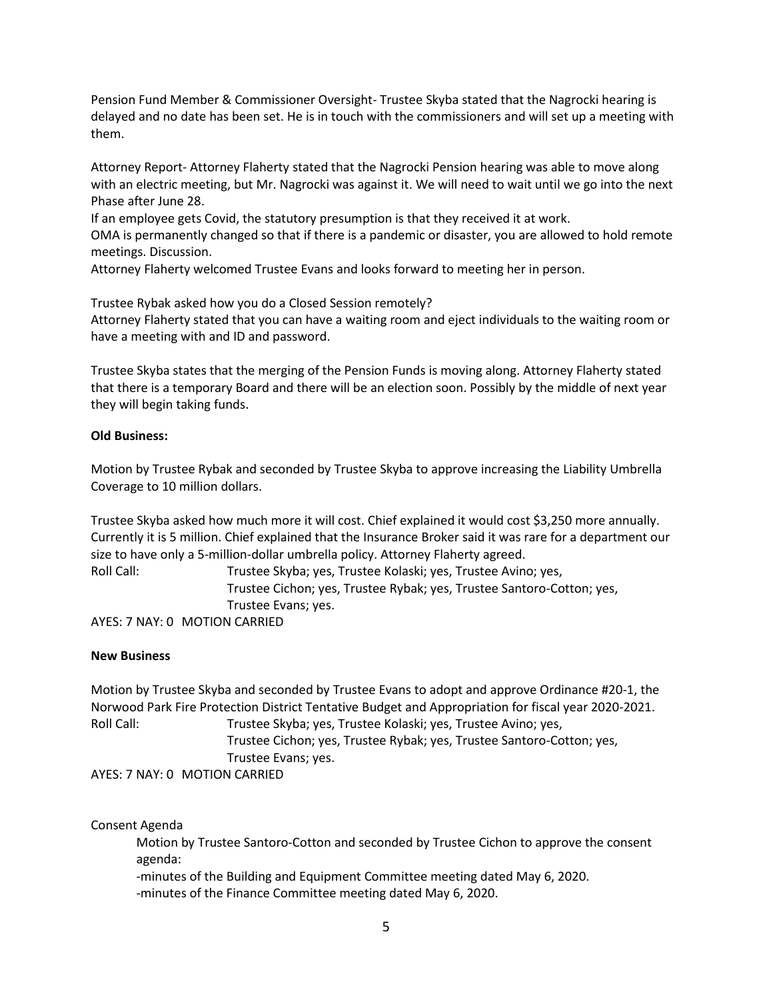Pension Fund Member & Commissioner Oversight- Trustee Skyba stated that the Nagrocki hearing is delayed and no date has been set. He is in touch with the commissioners and will set up a meeting with them.

Attorney Report- Attorney Flaherty stated that the Nagrocki Pension hearing was able to move along with an electric meeting, but Mr. Nagrocki was against it. We will need to wait until we go into the next Phase after June 28.

If an employee gets Covid, the statutory presumption is that they received it at work.

OMA is permanently changed so that if there is a pandemic or disaster, you are allowed to hold remote meetings. Discussion.

Attorney Flaherty welcomed Trustee Evans and looks forward to meeting her in person.

Trustee Rybak asked how you do a Closed Session remotely? Attorney Flaherty stated that you can have a waiting room and eject individuals to the waiting room or have a meeting with and ID and password.

Trustee Skyba states that the merging of the Pension Funds is moving along. Attorney Flaherty stated that there is a temporary Board and there will be an election soon. Possibly by the middle of next year they will begin taking funds.

### **Old Business:**

Motion by Trustee Rybak and seconded by Trustee Skyba to approve increasing the Liability Umbrella Coverage to 10 million dollars.

Trustee Skyba asked how much more it will cost. Chief explained it would cost \$3,250 more annually. Currently it is 5 million. Chief explained that the Insurance Broker said it was rare for a department our size to have only a 5-million-dollar umbrella policy. Attorney Flaherty agreed.

Roll Call: Trustee Skyba; yes, Trustee Kolaski; yes, Trustee Avino; yes, Trustee Cichon; yes, Trustee Rybak; yes, Trustee Santoro-Cotton; yes, Trustee Evans; yes.

AYES: 7 NAY: 0 MOTION CARRIED

# **New Business**

Motion by Trustee Skyba and seconded by Trustee Evans to adopt and approve Ordinance #20-1, the Norwood Park Fire Protection District Tentative Budget and Appropriation for fiscal year 2020-2021. Roll Call: Trustee Skyba; yes, Trustee Kolaski; yes, Trustee Avino; yes, Trustee Cichon; yes, Trustee Rybak; yes, Trustee Santoro-Cotton; yes, Trustee Evans; yes. AYES: 7 NAY: 0 MOTION CARRIED

Consent Agenda

Motion by Trustee Santoro-Cotton and seconded by Trustee Cichon to approve the consent agenda:

-minutes of the Building and Equipment Committee meeting dated May 6, 2020. -minutes of the Finance Committee meeting dated May 6, 2020.